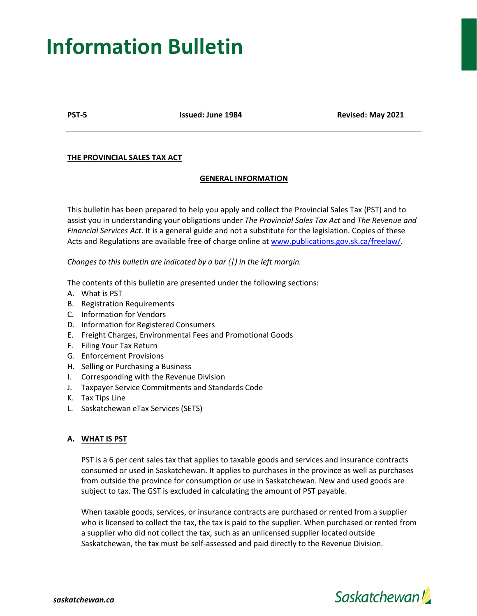# **Information Bulletin**

**PST-5 Issued: June 1984 Revised: May 2021**

# **THE PROVINCIAL SALES TAX ACT**

# **GENERAL INFORMATION**

This bulletin has been prepared to help you apply and collect the Provincial Sales Tax (PST) and to assist you in understanding your obligations under *The Provincial Sales Tax Act* and *The Revenue and Financial Services Act*. It is a general guide and not a substitute for the legislation. Copies of these Acts and Regulations are available free of charge online at [www.publications.gov.sk.ca/freelaw/.](http://www.publications.gov.sk.ca/freelaw/)

*Changes to this bulletin are indicated by a bar (|) in the left margin.*

The contents of this bulletin are presented under the following sections:

- A. What is PST
- B. Registration Requirements
- C. Information for Vendors
- D. Information for Registered Consumers
- E. Freight Charges, Environmental Fees and Promotional Goods
- F. Filing Your Tax Return
- G. Enforcement Provisions
- H. Selling or Purchasing a Business
- I. Corresponding with the Revenue Division
- J. Taxpayer Service Commitments and Standards Code
- K. Tax Tips Line
- L. Saskatchewan eTax Services (SETS)

# **A. WHAT IS PST**

PST is a 6 per cent sales tax that applies to taxable goods and services and insurance contracts consumed or used in Saskatchewan. It applies to purchases in the province as well as purchases from outside the province for consumption or use in Saskatchewan. New and used goods are subject to tax. The GST is excluded in calculating the amount of PST payable.

When taxable goods, services, or insurance contracts are purchased or rented from a supplier who is licensed to collect the tax, the tax is paid to the supplier. When purchased or rented from a supplier who did not collect the tax, such as an unlicensed supplier located outside Saskatchewan, the tax must be self-assessed and paid directly to the Revenue Division.

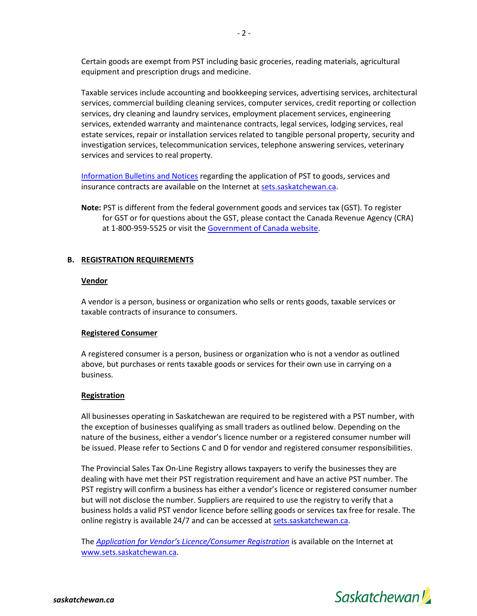Certain goods are exempt from PST including basic groceries, reading materials, agricultural equipment and prescription drugs and medicine.

Taxable services include accounting and bookkeeping services, advertising services, architectural services, commercial building cleaning services, computer services, credit reporting or collection services, dry cleaning and laundry services, employment placement services, engineering services, extended warranty and maintenance contracts, legal services, lodging services, real estate services, repair or installation services related to tangible personal property, security and investigation services, telecommunication services, telephone answering services, veterinary services and services to real property.

[Information Bulletins](https://sets.saskatchewan.ca/rptp/portal/footer/taxinformation/provincial-sales-tax/!ut/p/z1/04_Sj9CPykssy0xPLMnMz0vMAfIjo8ziTRw93A2cgg38LSxDDA0Cg928w8LMnI0N_Iz1w1EVGDiGmQMVmBn7GYS4Gxu4m-hHEaPfAAdwNCBOPx4FUfiND9ePQrPC3d3MINDZwsjT1NwZpAhdARYvErKkIDc0NMIg0xMASX2SwA!!/dz/d5/L2dBISEvZ0FBIS9nQSEh/) and Notices regarding the application of PST to goods, services and insurance contracts are available on the Internet a[t sets.saskatchewan.ca.](https://sets.saskatchewan.ca/rptp/portal/home/!ut/p/z1/04_Sj9CPykssy0xPLMnMz0vMAfIjo8zijS0MnN09DIy83EODjQwc_R1DTcIcvYAsE_1wQgqigNIGOICjAVB_FCElBbkRBumOiooA7YFcLQ!!/dz/d5/L2dBISEvZ0FBIS9nQSEh/)

**Note:** PST is different from the federal government goods and services tax (GST). To register for GST or for questions about the GST, please contact the Canada Revenue Agency (CRA) at 1-800-959-5525 or visit the [Government of Canada website.](https://www.canada.ca/en/services/taxes/gsthst.html)

## **B. REGISTRATION REQUIREMENTS**

#### **Vendor**

A vendor is a person, business or organization who sells or rents goods, taxable services or taxable contracts of insurance to consumers.

## **Registered Consumer**

A registered consumer is a person, business or organization who is not a vendor as outlined above, but purchases or rents taxable goods or services for their own use in carrying on a business.

## **Registration**

All businesses operating in Saskatchewan are required to be registered with a PST number, with the exception of businesses qualifying as small traders as outlined below. Depending on the nature of the business, either a vendor's licence number or a registered consumer number will be issued. Please refer to Sections C and D for vendor and registered consumer responsibilities.

The Provincial Sales Tax On-Line Registry allows taxpayers to verify the businesses they are dealing with have met their PST registration requirement and have an active PST number. The PST registry will confirm a business has either a vendor's licence or registered consumer number but will not disclose the number. Suppliers are required to use the registry to verify that a business holds a valid PST vendor licence before selling goods or services tax free for resale. The online registry is available 24/7 and can be accessed at [sets.saskatchewan.ca.](http://www.sets.saskatchewan.ca/)

The *[Application for Vendor's Licence/Consumer Registration](https://sets.saskatchewan.ca/rptp/wcm/connect/7f1063c3-8da0-4b72-b0ee-d9e5c2aa8562/PST+Registration+Form.pdf?MOD=AJPERES&CACHEID=ROOTWORKSPACE-7f1063c3-8da0-4b72-b0ee-d9e5c2aa8562-mwfhBdX)* is available on the Internet at [www.sets.saskatchewan.ca.](https://sets.saskatchewan.ca/rptp/portal/home/!ut/p/z1/04_Sj9CPykssy0xPLMnMz0vMAfIjo8zijS0MnN09DIy83EODjQwc_R1DTcIcvYAsE_1wQgqigNIGOICjAVB_FCElBbkRBumOiooA7YFcLQ!!/dz/d5/L2dBISEvZ0FBIS9nQSEh/)

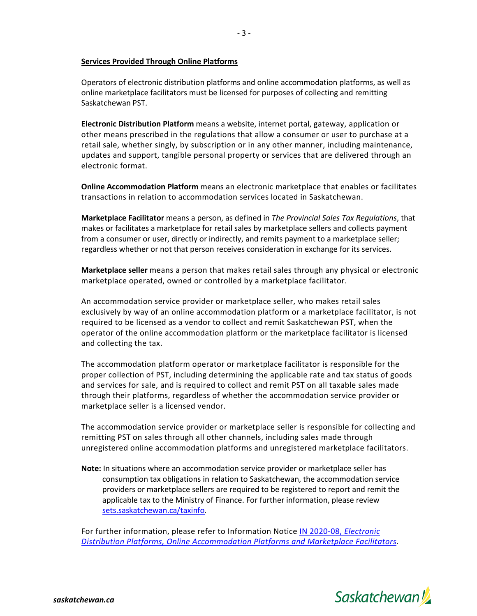## **Services Provided Through Online Platforms**

Operators of electronic distribution platforms and online accommodation platforms, as well as online marketplace facilitators must be licensed for purposes of collecting and remitting Saskatchewan PST.

- 3 -

**Electronic Distribution Platform** means a website, internet portal, gateway, application or other means prescribed in the regulations that allow a consumer or user to purchase at a retail sale, whether singly, by subscription or in any other manner, including maintenance, updates and support, tangible personal property or services that are delivered through an electronic format.

**Online Accommodation Platform** means an electronic marketplace that enables or facilitates transactions in relation to accommodation services located in Saskatchewan.

**Marketplace Facilitator** means a person, as defined in *The Provincial Sales Tax Regulations*, that makes or facilitates a marketplace for retail sales by marketplace sellers and collects payment from a consumer or user, directly or indirectly, and remits payment to a marketplace seller; regardless whether or not that person receives consideration in exchange for its services.

**Marketplace seller** means a person that makes retail sales through any physical or electronic marketplace operated, owned or controlled by a marketplace facilitator.

An accommodation service provider or marketplace seller, who makes retail sales exclusively by way of an online accommodation platform or a marketplace facilitator, is not required to be licensed as a vendor to collect and remit Saskatchewan PST, when the operator of the online accommodation platform or the marketplace facilitator is licensed and collecting the tax.

The accommodation platform operator or marketplace facilitator is responsible for the proper collection of PST, including determining the applicable rate and tax status of goods and services for sale, and is required to collect and remit PST on all taxable sales made through their platforms, regardless of whether the accommodation service provider or marketplace seller is a licensed vendor.

The accommodation service provider or marketplace seller is responsible for collecting and remitting PST on sales through all other channels, including sales made through unregistered online accommodation platforms and unregistered marketplace facilitators.

**Note:** In situations where an accommodation service provider or marketplace seller has consumption tax obligations in relation to Saskatchewan, the accommodation service providers or marketplace sellers are required to be registered to report and remit the applicable tax to the Ministry of Finance. For further information, please review [sets.saskatchewan.ca/taxinfo](http://www.sets.saskatchewan.ca/taxinfo)*.*

For further information, please refer to Information Notice [IN 2020-08,](https://sets.saskatchewan.ca/rptp/wcm/connect/e1813f7a-3cb8-4e62-85a9-d12f2db16f58/IN+2020-08+Electronic+Distribution+Platforms%2C+Online+Accommodation+Platforms+and+Marketplace+Facilitators.pdf?MOD=AJPERES&CACHEID=ROOTWORKSPACE-e1813f7a-3cb8-4e62-85a9-d12f2db16f58-nbdIiEB) *Electronic [Distribution Platforms, Online Accommodation Platforms and Marketplace Facilitators.](https://sets.saskatchewan.ca/rptp/wcm/connect/e1813f7a-3cb8-4e62-85a9-d12f2db16f58/IN+2020-08+Electronic+Distribution+Platforms%2C+Online+Accommodation+Platforms+and+Marketplace+Facilitators.pdf?MOD=AJPERES&CACHEID=ROOTWORKSPACE-e1813f7a-3cb8-4e62-85a9-d12f2db16f58-nbdIiEB)*

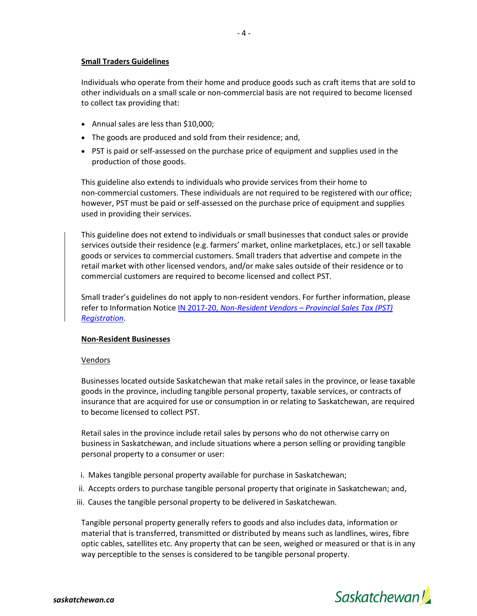## **Small Traders Guidelines**

Individuals who operate from their home and produce goods such as craft items that are sold to other individuals on a small scale or non-commercial basis are not required to become licensed to collect tax providing that:

- Annual sales are less than \$10,000;
- The goods are produced and sold from their residence; and,
- PST is paid or self-assessed on the purchase price of equipment and supplies used in the production of those goods.

This guideline also extends to individuals who provide services from their home to non-commercial customers. These individuals are not required to be registered with our office; however, PST must be paid or self-assessed on the purchase price of equipment and supplies used in providing their services.

This guideline does not extend to individuals or small businesses that conduct sales or provide services outside their residence (e.g. farmers' market, online marketplaces, etc.) or sell taxable goods or services to commercial customers. Small traders that advertise and compete in the retail market with other licensed vendors, and/or make sales outside of their residence or to commercial customers are required to become licensed and collect PST.

Small trader's guidelines do not apply to non-resident vendors. For further information, please refer to Information Notice IN 2017-20, *Non-Resident Vendors – [Provincial Sales Tax \(PST\)](https://sets.saskatchewan.ca/rptp/wcm/connect/b1d71f7e-f92e-4982-95c9-130ebf3fe8d4/IN+2017-20+Non-Resident+Vendors+PST+Registration.pdf?MOD=AJPERES&CACHEID=ROOTWORKSPACE-b1d71f7e-f92e-4982-95c9-130ebf3fe8d4-nnY6XUK)  [Registration](https://sets.saskatchewan.ca/rptp/wcm/connect/b1d71f7e-f92e-4982-95c9-130ebf3fe8d4/IN+2017-20+Non-Resident+Vendors+PST+Registration.pdf?MOD=AJPERES&CACHEID=ROOTWORKSPACE-b1d71f7e-f92e-4982-95c9-130ebf3fe8d4-nnY6XUK)*.

# **Non-Resident Businesses**

## Vendors

Businesses located outside Saskatchewan that make retail sales in the province, or lease taxable goods in the province, including tangible personal property, taxable services, or contracts of insurance that are acquired for use or consumption in or relating to Saskatchewan, are required to become licensed to collect PST.

Retail sales in the province include retail sales by persons who do not otherwise carry on business in Saskatchewan, and include situations where a person selling or providing tangible personal property to a consumer or user:

- i. Makes tangible personal property available for purchase in Saskatchewan;
- ii. Accepts orders to purchase tangible personal property that originate in Saskatchewan; and,
- iii. Causes the tangible personal property to be delivered in Saskatchewan.

Tangible personal property generally refers to goods and also includes data, information or material that is transferred, transmitted or distributed by means such as landlines, wires, fibre optic cables, satellites etc. Any property that can be seen, weighed or measured or that is in any way perceptible to the senses is considered to be tangible personal property.

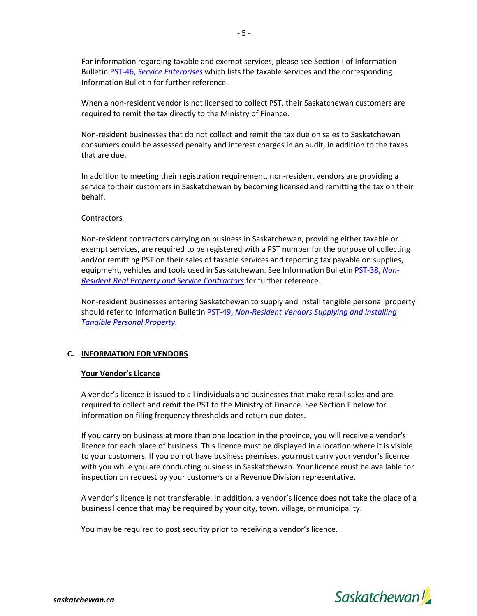For information regarding taxable and exempt services, please see Section I of Information Bulletin PST-46, *[Service Enterprises](https://www.sets.saskatchewan.ca/rptp/wcm/connect/e7e30336-4215-402f-9fd6-1c22c9b56982/PST-46+Service+Enterprises.pdf?MOD=AJPERES&CACHEID=ROOTWORKSPACE-e7e30336-4215-402f-9fd6-1c22c9b56982-mDb1ZTZ)* which lists the taxable services and the corresponding Information Bulletin for further reference.

When a non-resident vendor is not licensed to collect PST, their Saskatchewan customers are required to remit the tax directly to the Ministry of Finance.

Non-resident businesses that do not collect and remit the tax due on sales to Saskatchewan consumers could be assessed penalty and interest charges in an audit, in addition to the taxes that are due.

In addition to meeting their registration requirement, non-resident vendors are providing a service to their customers in Saskatchewan by becoming licensed and remitting the tax on their behalf.

## **Contractors**

Non-resident contractors carrying on business in Saskatchewan, providing either taxable or exempt services, are required to be registered with a PST number for the purpose of collecting and/or remitting PST on their sales of taxable services and reporting tax payable on supplies, equipment, vehicles and tools used in Saskatchewan. See Information Bulletin [PST-38,](https://www.sets.saskatchewan.ca/rptp/wcm/connect/07d3c079-9430-437c-be22-e441949e91e5/PST-38+Non-Resident+Real+Property+and+Service+Contractors.pdf?MOD=AJPERES&CACHEID=ROOTWORKSPACE-07d3c079-9430-437c-be22-e441949e91e5-mDb2iP5) *Non-[Resident Real Property and Service Contractors](https://www.sets.saskatchewan.ca/rptp/wcm/connect/07d3c079-9430-437c-be22-e441949e91e5/PST-38+Non-Resident+Real+Property+and+Service+Contractors.pdf?MOD=AJPERES&CACHEID=ROOTWORKSPACE-07d3c079-9430-437c-be22-e441949e91e5-mDb2iP5)* for further reference.

Non-resident businesses entering Saskatchewan to supply and install tangible personal property should refer to Information Bulletin PST-49, *[Non-Resident Vendors Supplying and Installing](https://www.sets.saskatchewan.ca/rptp/wcm/connect/426b9b12-aefb-41d1-bf91-5c21965de96d/PST-49+Non-Resident+Vendors+Supplying+and+Installing+Tangible+Personal+Property.pdf?MOD=AJPERES&CACHEID=ROOTWORKSPACE-426b9b12-aefb-41d1-bf91-5c21965de96d-mDb1CVv)  [Tangible Personal Property](https://www.sets.saskatchewan.ca/rptp/wcm/connect/426b9b12-aefb-41d1-bf91-5c21965de96d/PST-49+Non-Resident+Vendors+Supplying+and+Installing+Tangible+Personal+Property.pdf?MOD=AJPERES&CACHEID=ROOTWORKSPACE-426b9b12-aefb-41d1-bf91-5c21965de96d-mDb1CVv)*.

## **C. INFORMATION FOR VENDORS**

#### **Your Vendor's Licence**

A vendor's licence is issued to all individuals and businesses that make retail sales and are required to collect and remit the PST to the Ministry of Finance. See Section F below for information on filing frequency thresholds and return due dates.

If you carry on business at more than one location in the province, you will receive a vendor's licence for each place of business. This licence must be displayed in a location where it is visible to your customers. If you do not have business premises, you must carry your vendor's licence with you while you are conducting business in Saskatchewan. Your licence must be available for inspection on request by your customers or a Revenue Division representative.

A vendor's licence is not transferable. In addition, a vendor's licence does not take the place of a business licence that may be required by your city, town, village, or municipality.

You may be required to post security prior to receiving a vendor's licence.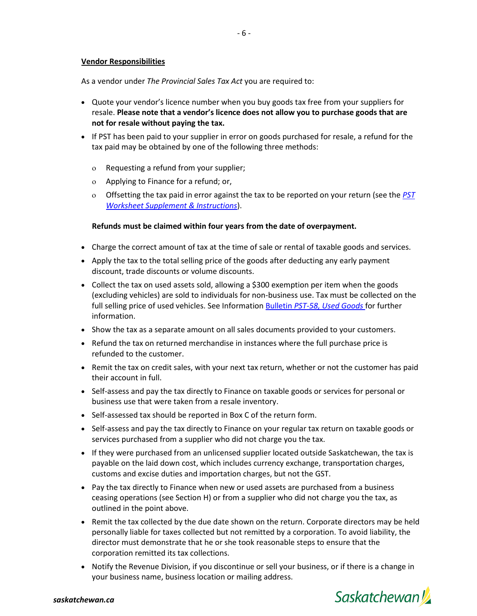#### **Vendor Responsibilities**

As a vendor under *The Provincial Sales Tax Act* you are required to:

- Quote your vendor's licence number when you buy goods tax free from your suppliers for resale. **Please note that a vendor's licence does not allow you to purchase goods that are not for resale without paying the tax.**
- If PST has been paid to your supplier in error on goods purchased for resale, a refund for the tax paid may be obtained by one of the following three methods:
	- ο Requesting a refund from your supplier;
	- ο Applying to Finance for a refund; or,
	- ο Offsetting the tax paid in error against the tax to be reported on your return (see the *[PST](https://sets.saskatchewan.ca/rptp/wcm/connect/a53e87f4-570b-402e-b1f4-516a705ca285/PST+Return+Worksheet+Supplement+and+Instructions.pdf?MOD=AJPERES&CACHEID=ROOTWORKSPACE-a53e87f4-570b-402e-b1f4-516a705ca285-mzfdX.r)  [Worksheet Supplement](https://sets.saskatchewan.ca/rptp/wcm/connect/a53e87f4-570b-402e-b1f4-516a705ca285/PST+Return+Worksheet+Supplement+and+Instructions.pdf?MOD=AJPERES&CACHEID=ROOTWORKSPACE-a53e87f4-570b-402e-b1f4-516a705ca285-mzfdX.r) & Instructions*).

#### **Refunds must be claimed within four years from the date of overpayment.**

- Charge the correct amount of tax at the time of sale or rental of taxable goods and services.
- Apply the tax to the total selling price of the goods after deducting any early payment discount, trade discounts or volume discounts.
- Collect the tax on used assets sold, allowing a \$300 exemption per item when the goods (excluding vehicles) are sold to individuals for non-business use. Tax must be collected on the full selling price of used vehicles. See Information Bulletin *[PST-58, Used Goods](https://www.sets.saskatchewan.ca/rptp/wcm/connect/d822db11-55f6-4cc9-a5da-440119e10884/PST-58+Used+Goods.pdf?MOD=AJPERES&CACHEID=ROOTWORKSPACE-d822db11-55f6-4cc9-a5da-440119e10884-mDb1bE7)* for further information.
- Show the tax as a separate amount on all sales documents provided to your customers.
- Refund the tax on returned merchandise in instances where the full purchase price is refunded to the customer.
- Remit the tax on credit sales, with your next tax return, whether or not the customer has paid their account in full.
- Self-assess and pay the tax directly to Finance on taxable goods or services for personal or business use that were taken from a resale inventory.
- Self-assessed tax should be reported in Box C of the return form.
- Self-assess and pay the tax directly to Finance on your regular tax return on taxable goods or services purchased from a supplier who did not charge you the tax.
- If they were purchased from an unlicensed supplier located outside Saskatchewan, the tax is payable on the laid down cost, which includes currency exchange, transportation charges, customs and excise duties and importation charges, but not the GST.
- Pay the tax directly to Finance when new or used assets are purchased from a business ceasing operations (see Section H) or from a supplier who did not charge you the tax, as outlined in the point above.
- Remit the tax collected by the due date shown on the return. Corporate directors may be held personally liable for taxes collected but not remitted by a corporation. To avoid liability, the director must demonstrate that he or she took reasonable steps to ensure that the corporation remitted its tax collections.
- Notify the Revenue Division, if you discontinue or sell your business, or if there is a change in your business name, business location or mailing address.



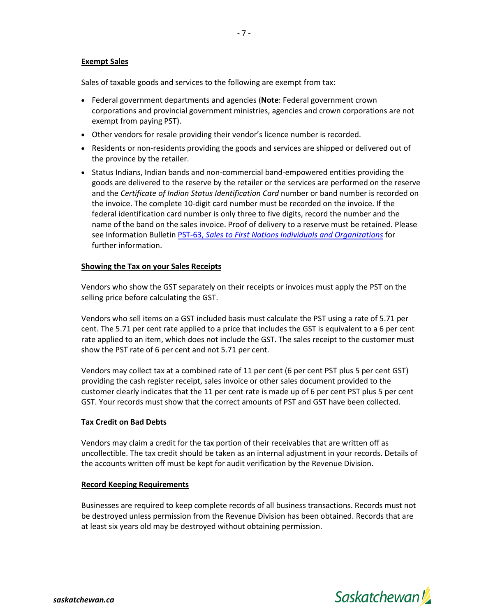## **Exempt Sales**

Sales of taxable goods and services to the following are exempt from tax:

- Federal government departments and agencies (**Note**: Federal government crown corporations and provincial government ministries, agencies and crown corporations are not exempt from paying PST).
- Other vendors for resale providing their vendor's licence number is recorded.
- Residents or non-residents providing the goods and services are shipped or delivered out of the province by the retailer.
- Status Indians, Indian bands and non-commercial band-empowered entities providing the goods are delivered to the reserve by the retailer or the services are performed on the reserve and the *Certificate of Indian Status Identification Card* number or band number is recorded on the invoice. The complete 10-digit card number must be recorded on the invoice. If the federal identification card number is only three to five digits, record the number and the name of the band on the sales invoice. Proof of delivery to a reserve must be retained. Please see Information Bulletin PST-63, *[Sales to First Nations Individuals and Organizations](https://www.sets.saskatchewan.ca/rptp/wcm/connect/4354fa17-e457-42e9-9eee-e8251643b205/PST-63+Sales+to+First+Nations+Individuals+and+Organizations.pdf?MOD=AJPERES&CACHEID=ROOTWORKSPACE-4354fa17-e457-42e9-9eee-e8251643b205-mDb0.-w)* for further information.

## **Showing the Tax on your Sales Receipts**

Vendors who show the GST separately on their receipts or invoices must apply the PST on the selling price before calculating the GST.

Vendors who sell items on a GST included basis must calculate the PST using a rate of 5.71 per cent. The 5.71 per cent rate applied to a price that includes the GST is equivalent to a 6 per cent rate applied to an item, which does not include the GST. The sales receipt to the customer must show the PST rate of 6 per cent and not 5.71 per cent.

Vendors may collect tax at a combined rate of 11 per cent (6 per cent PST plus 5 per cent GST) providing the cash register receipt, sales invoice or other sales document provided to the customer clearly indicates that the 11 per cent rate is made up of 6 per cent PST plus 5 per cent GST. Your records must show that the correct amounts of PST and GST have been collected.

# **Tax Credit on Bad Debts**

Vendors may claim a credit for the tax portion of their receivables that are written off as uncollectible. The tax credit should be taken as an internal adjustment in your records. Details of the accounts written off must be kept for audit verification by the Revenue Division.

## **Record Keeping Requirements**

Businesses are required to keep complete records of all business transactions. Records must not be destroyed unless permission from the Revenue Division has been obtained. Records that are at least six years old may be destroyed without obtaining permission.



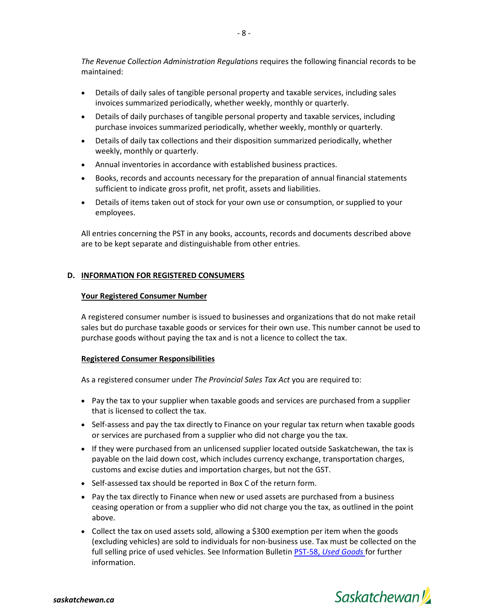*The Revenue Collection Administration Regulations* requires the following financial records to be maintained:

- Details of daily sales of tangible personal property and taxable services, including sales invoices summarized periodically, whether weekly, monthly or quarterly.
- Details of daily purchases of tangible personal property and taxable services, including purchase invoices summarized periodically, whether weekly, monthly or quarterly.
- Details of daily tax collections and their disposition summarized periodically, whether weekly, monthly or quarterly.
- Annual inventories in accordance with established business practices.
- Books, records and accounts necessary for the preparation of annual financial statements sufficient to indicate gross profit, net profit, assets and liabilities.
- Details of items taken out of stock for your own use or consumption, or supplied to your employees.

All entries concerning the PST in any books, accounts, records and documents described above are to be kept separate and distinguishable from other entries.

# **D. INFORMATION FOR REGISTERED CONSUMERS**

## **Your Registered Consumer Number**

A registered consumer number is issued to businesses and organizations that do not make retail sales but do purchase taxable goods or services for their own use. This number cannot be used to purchase goods without paying the tax and is not a licence to collect the tax.

## **Registered Consumer Responsibilities**

As a registered consumer under *The Provincial Sales Tax Act* you are required to:

- Pay the tax to your supplier when taxable goods and services are purchased from a supplier that is licensed to collect the tax.
- Self-assess and pay the tax directly to Finance on your regular tax return when taxable goods or services are purchased from a supplier who did not charge you the tax.
- If they were purchased from an unlicensed supplier located outside Saskatchewan, the tax is payable on the laid down cost, which includes currency exchange, transportation charges, customs and excise duties and importation charges, but not the GST.
- Self-assessed tax should be reported in Box C of the return form.
- Pay the tax directly to Finance when new or used assets are purchased from a business ceasing operation or from a supplier who did not charge you the tax, as outlined in the point above.
- Collect the tax on used assets sold, allowing a \$300 exemption per item when the goods (excluding vehicles) are sold to individuals for non-business use. Tax must be collected on the full selling price of used vehicles. See Information Bulletin PST-58, *[Used Goods](https://www.sets.saskatchewan.ca/rptp/wcm/connect/d822db11-55f6-4cc9-a5da-440119e10884/PST-58+Used+Goods.pdf?MOD=AJPERES&CACHEID=ROOTWORKSPACE-d822db11-55f6-4cc9-a5da-440119e10884-mDb1bE7)* for further information.

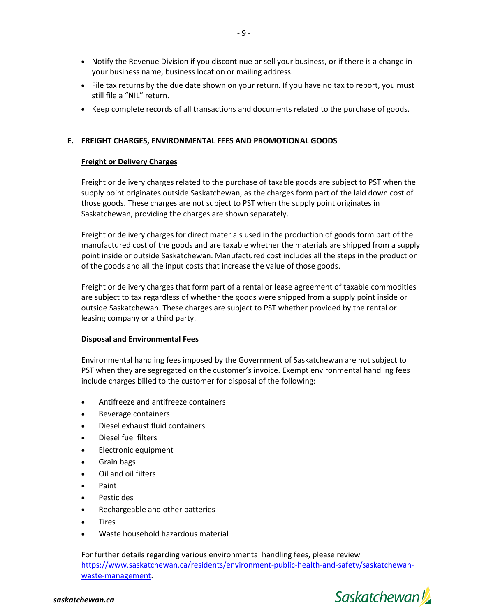- Notify the Revenue Division if you discontinue or sell your business, or if there is a change in your business name, business location or mailing address.
- File tax returns by the due date shown on your return. If you have no tax to report, you must still file a "NIL" return.
- Keep complete records of all transactions and documents related to the purchase of goods.

# **E. FREIGHT CHARGES, ENVIRONMENTAL FEES AND PROMOTIONAL GOODS**

## **Freight or Delivery Charges**

Freight or delivery charges related to the purchase of taxable goods are subject to PST when the supply point originates outside Saskatchewan, as the charges form part of the laid down cost of those goods. These charges are not subject to PST when the supply point originates in Saskatchewan, providing the charges are shown separately.

Freight or delivery charges for direct materials used in the production of goods form part of the manufactured cost of the goods and are taxable whether the materials are shipped from a supply point inside or outside Saskatchewan. Manufactured cost includes all the steps in the production of the goods and all the input costs that increase the value of those goods.

Freight or delivery charges that form part of a rental or lease agreement of taxable commodities are subject to tax regardless of whether the goods were shipped from a supply point inside or outside Saskatchewan. These charges are subject to PST whether provided by the rental or leasing company or a third party.

## **Disposal and Environmental Fees**

Environmental handling fees imposed by the Government of Saskatchewan are not subject to PST when they are segregated on the customer's invoice. Exempt environmental handling fees include charges billed to the customer for disposal of the following:

- Antifreeze and antifreeze containers
- Beverage containers
- Diesel exhaust fluid containers
- Diesel fuel filters
- Electronic equipment
- Grain bags
- Oil and oil filters
- Paint
- Pesticides
- Rechargeable and other batteries
- **Tires**
- Waste household hazardous material

For further details regarding various environmental handling fees, please review [https://www.saskatchewan.ca/residents/environment-public-health-and-safety/saskatchewan](https://www.saskatchewan.ca/residents/environment-public-health-and-safety/saskatchewan-waste-management)[waste-management.](https://www.saskatchewan.ca/residents/environment-public-health-and-safety/saskatchewan-waste-management)

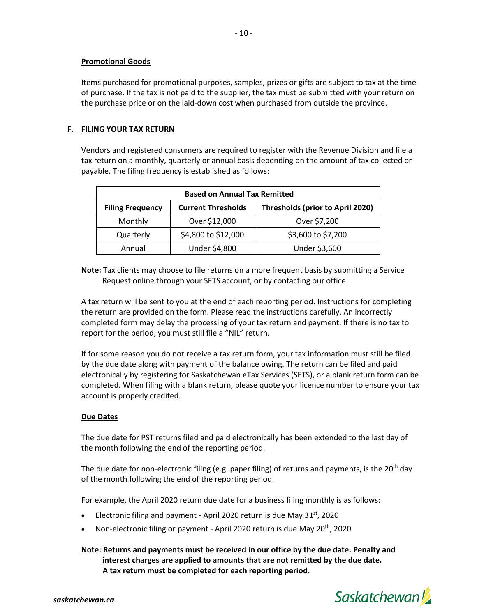## **Promotional Goods**

Items purchased for promotional purposes, samples, prizes or gifts are subject to tax at the time of purchase. If the tax is not paid to the supplier, the tax must be submitted with your return on the purchase price or on the laid-down cost when purchased from outside the province.

## **F. FILING YOUR TAX RETURN**

Vendors and registered consumers are required to register with the Revenue Division and file a tax return on a monthly, quarterly or annual basis depending on the amount of tax collected or payable. The filing frequency is established as follows:

| <b>Based on Annual Tax Remitted</b> |                           |                                  |  |  |
|-------------------------------------|---------------------------|----------------------------------|--|--|
| <b>Filing Frequency</b>             | <b>Current Thresholds</b> | Thresholds (prior to April 2020) |  |  |
| Monthly                             | Over \$12,000             | Over \$7,200                     |  |  |
| Quarterly                           | \$4,800 to \$12,000       | \$3,600 to \$7,200               |  |  |
| Annual                              | Under \$4,800             | Under \$3,600                    |  |  |

**Note:** Tax clients may choose to file returns on a more frequent basis by submitting a Service Request online through your SETS account, or by contacting our office.

A tax return will be sent to you at the end of each reporting period. Instructions for completing the return are provided on the form. Please read the instructions carefully. An incorrectly completed form may delay the processing of your tax return and payment. If there is no tax to report for the period, you must still file a "NIL" return.

If for some reason you do not receive a tax return form, your tax information must still be filed by the due date along with payment of the balance owing. The return can be filed and paid electronically by registering for Saskatchewan eTax Services (SETS), or a blank return form can be completed. When filing with a blank return, please quote your licence number to ensure your tax account is properly credited.

## **Due Dates**

The due date for PST returns filed and paid electronically has been extended to the last day of the month following the end of the reporting period.

The due date for non-electronic filing (e.g. paper filing) of returns and payments, is the 20<sup>th</sup> day of the month following the end of the reporting period.

For example, the April 2020 return due date for a business filing monthly is as follows:

- Electronic filing and payment April 2020 return is due May  $31<sup>st</sup>$ , 2020
- Non-electronic filing or payment April 2020 return is due May 20<sup>th</sup>, 2020

**Note: Returns and payments must be received in our office by the due date. Penalty and interest charges are applied to amounts that are not remitted by the due date. A tax return must be completed for each reporting period.**

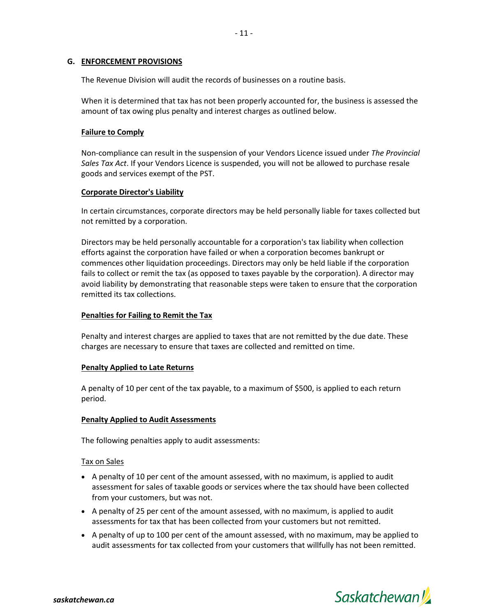## **G. ENFORCEMENT PROVISIONS**

The Revenue Division will audit the records of businesses on a routine basis.

When it is determined that tax has not been properly accounted for, the business is assessed the amount of tax owing plus penalty and interest charges as outlined below.

## **Failure to Comply**

Non-compliance can result in the suspension of your Vendors Licence issued under *The Provincial Sales Tax Act*. If your Vendors Licence is suspended, you will not be allowed to purchase resale goods and services exempt of the PST.

## **Corporate Director's Liability**

In certain circumstances, corporate directors may be held personally liable for taxes collected but not remitted by a corporation.

Directors may be held personally accountable for a corporation's tax liability when collection efforts against the corporation have failed or when a corporation becomes bankrupt or commences other liquidation proceedings. Directors may only be held liable if the corporation fails to collect or remit the tax (as opposed to taxes payable by the corporation). A director may avoid liability by demonstrating that reasonable steps were taken to ensure that the corporation remitted its tax collections.

## **Penalties for Failing to Remit the Tax**

Penalty and interest charges are applied to taxes that are not remitted by the due date. These charges are necessary to ensure that taxes are collected and remitted on time.

# **Penalty Applied to Late Returns**

A penalty of 10 per cent of the tax payable, to a maximum of \$500, is applied to each return period.

## **Penalty Applied to Audit Assessments**

The following penalties apply to audit assessments:

## Tax on Sales

- A penalty of 10 per cent of the amount assessed, with no maximum, is applied to audit assessment for sales of taxable goods or services where the tax should have been collected from your customers, but was not.
- A penalty of 25 per cent of the amount assessed, with no maximum, is applied to audit assessments for tax that has been collected from your customers but not remitted.
- A penalty of up to 100 per cent of the amount assessed, with no maximum, may be applied to audit assessments for tax collected from your customers that willfully has not been remitted.

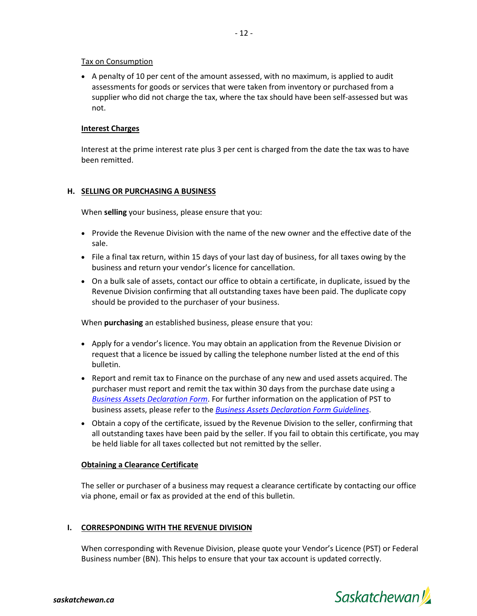## Tax on Consumption

• A penalty of 10 per cent of the amount assessed, with no maximum, is applied to audit assessments for goods or services that were taken from inventory or purchased from a supplier who did not charge the tax, where the tax should have been self-assessed but was not.

## **Interest Charges**

Interest at the prime interest rate plus 3 per cent is charged from the date the tax was to have been remitted.

## **H. SELLING OR PURCHASING A BUSINESS**

When **selling** your business, please ensure that you:

- Provide the Revenue Division with the name of the new owner and the effective date of the sale.
- File a final tax return, within 15 days of your last day of business, for all taxes owing by the business and return your vendor's licence for cancellation.
- On a bulk sale of assets, contact our office to obtain a certificate, in duplicate, issued by the Revenue Division confirming that all outstanding taxes have been paid. The duplicate copy should be provided to the purchaser of your business.

When **purchasing** an established business, please ensure that you:

- Apply for a vendor's licence. You may obtain an application from the Revenue Division or request that a licence be issued by calling the telephone number listed at the end of this bulletin.
- Report and remit tax to Finance on the purchase of any new and used assets acquired. The purchaser must report and remit the tax within 30 days from the purchase date using a *[Business Assets Declaration Form](https://sets.saskatchewan.ca/rptp/wcm/connect/c0843afd-8b16-41ed-8b70-c3c279f7a7c1/PST+Business+Assets+Declaration+Form.pdf?MOD=AJPERES&CACHEID=ROOTWORKSPACE-c0843afd-8b16-41ed-8b70-c3c279f7a7c1-mwfxldS)*. For further information on the application of PST to business assets, please refer to the *[Business Assets Declaration Form Guidelines](https://sets.saskatchewan.ca/rptp/wcm/connect/36417eb6-f196-422b-a3de-d12fe11f2a20/PST+Business+Assets+Declaration+Form+Guidelines.pdf?MOD=AJPERES&CACHEID=ROOTWORKSPACE-36417eb6-f196-422b-a3de-d12fe11f2a20-mwfCzPA)*.
- Obtain a copy of the certificate, issued by the Revenue Division to the seller, confirming that all outstanding taxes have been paid by the seller. If you fail to obtain this certificate, you may be held liable for all taxes collected but not remitted by the seller.

## **Obtaining a Clearance Certificate**

The seller or purchaser of a business may request a clearance certificate by contacting our office via phone, email or fax as provided at the end of this bulletin.

## **I. CORRESPONDING WITH THE REVENUE DIVISION**

When corresponding with Revenue Division, please quote your Vendor's Licence (PST) or Federal Business number (BN). This helps to ensure that your tax account is updated correctly.

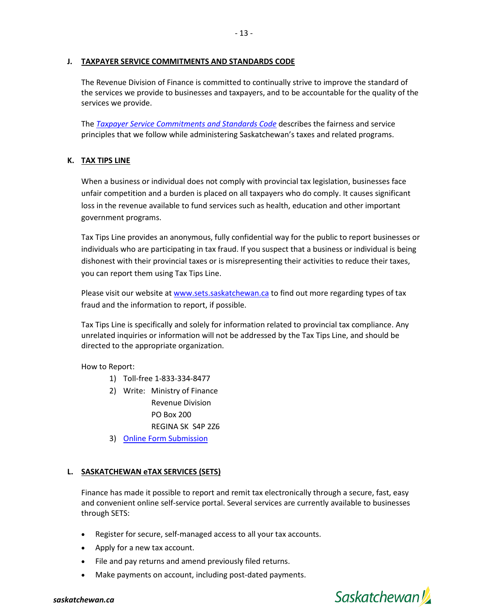## **J. TAXPAYER SERVICE COMMITMENTS AND STANDARDS CODE**

The Revenue Division of Finance is committed to continually strive to improve the standard of the services we provide to businesses and taxpayers, and to be accountable for the quality of the services we provide.

The *[Taxpayer Service Commitments and Standards Code](https://sets.saskatchewan.ca/rptp/wcm/connect/39785c20-b963-4323-9f8f-9fdb030543ac/Taxpayer+Service+Commitments+and+Standards.pdf?MOD=AJPERES&CACHEID=ROOTWORKSPACE-39785c20-b963-4323-9f8f-9fdb030543ac-mE81FHI)* describes the fairness and service principles that we follow while administering Saskatchewan's taxes and related programs.

# **K. TAX TIPS LINE**

When a business or individual does not comply with provincial tax legislation, businesses face unfair competition and a burden is placed on all taxpayers who do comply. It causes significant loss in the revenue available to fund services such as health, education and other important government programs.

Tax Tips Line provides an anonymous, fully confidential way for the public to report businesses or individuals who are participating in tax fraud. If you suspect that a business or individual is being dishonest with their provincial taxes or is misrepresenting their activities to reduce their taxes, you can report them using Tax Tips Line.

Please visit our website at [www.sets.saskatchewan.ca](https://sets.saskatchewan.ca/rptp/portal/home/tips_form/!ut/p/z1/04_Sj9CPykssy0xPLMnMz0vMAfIjo8ziTRw93A2cgg38LSz9zA0CPQOdA0wtAowNDAz0w8EKDHAARwP9KGL041EQhd_4cP0osBJjCwNndw8DIy_30GAjA0d_x1CTMEcvIMsEqgCPGQW5oREGmY6KAGBYQ_8!/dz/d5/L2dBISEvZ0FBIS9nQSEh/) to find out more regarding types of tax fraud and the information to report, if possible.

Tax Tips Line is specifically and solely for information related to provincial tax compliance. Any unrelated inquiries or information will not be addressed by the Tax Tips Line, and should be directed to the appropriate organization.

How to Report:

- 1) Toll-free 1-833-334-8477
- 2) Write: Ministry of Finance Revenue Division PO Box 200 REGINA SK S4P 2Z6
- 3) [Online Form Submission](https://www.sets.saskatchewan.ca/rptp/portal/home/tips_form/!ut/p/z1/04_Sj9CPykssy0xPLMnMz0vMAfIjo8ziTRw93A2cgg38LSz9zA0CPQOdA0wtAowNDAz0w8EKDHAARwP9KGL041EQhd_4cP0osBJjCwNndw8DIy_30GAjA0d_x1CTMEcvIMsEqgCPGQW5oREGmY6KAGBYQ_8!/dz/d5/L2dBISEvZ0FBIS9nQSEh/)

# **L. SASKATCHEWAN eTAX SERVICES (SETS)**

Finance has made it possible to report and remit tax electronically through a secure, fast, easy and convenient online self-service portal. Several services are currently available to businesses through SETS:

- Register for secure, self-managed access to all your tax accounts.
- Apply for a new tax account.
- File and pay returns and amend previously filed returns.
- Make payments on account, including post-dated payments.